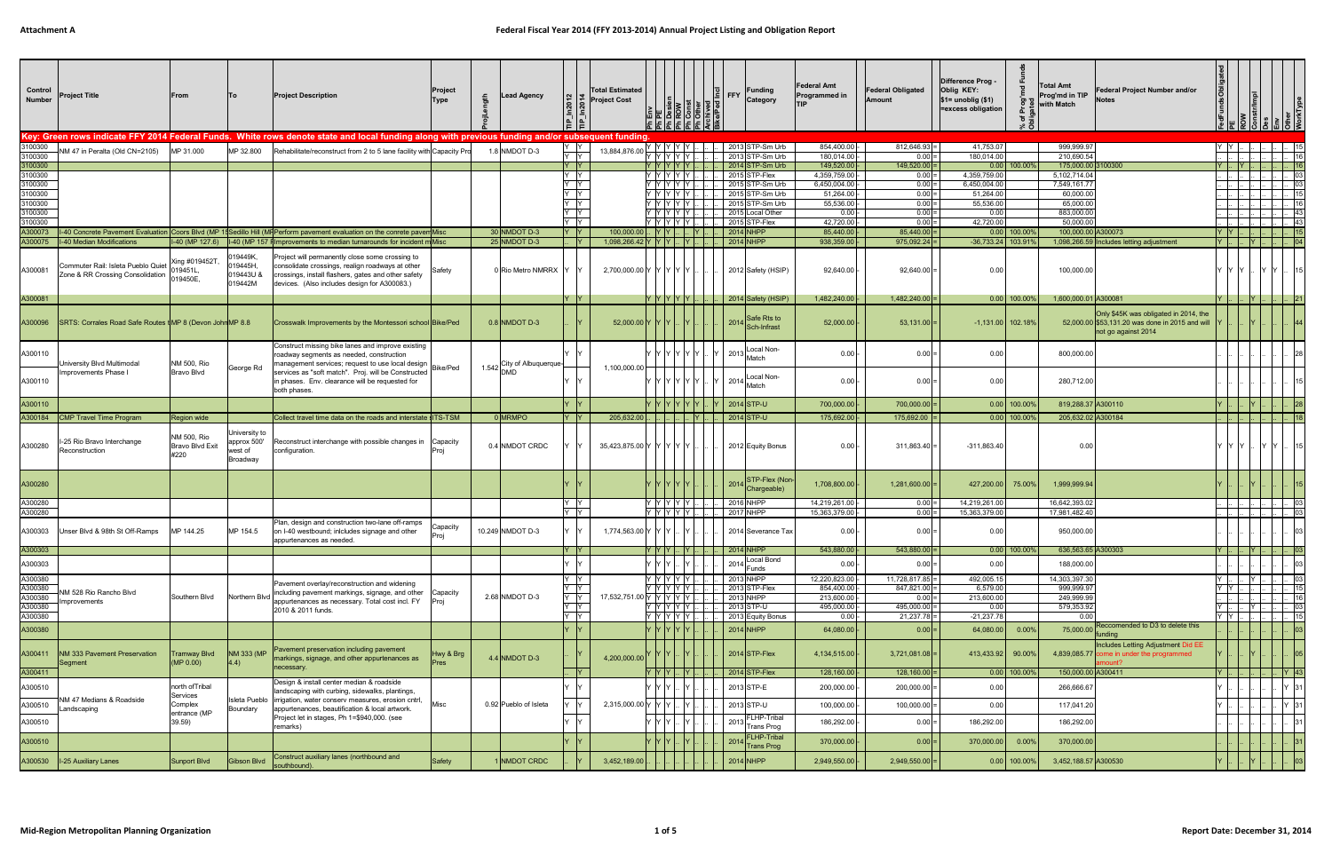| Control<br><b>Number</b> | Project Title                                                          | From                                          | ۱To                                                 | <b>Project Description</b>                                                                                                                                                                                 | Project<br>Type | Lead Agency               | ln2014<br>n201              | <b>Total Estimated</b><br><b>Project Cost</b> |                                                                                                              |                   |      | <b>Funding</b><br>Category           | Federal Amt<br>Programmed in   | <b>Federal Obligated</b><br>Amount  | Difference Prog -<br>Oblig KEY:<br>$\$1=$ unoblig $\$1)$<br>=excess obligation | 'ত               | <b>Total Amt</b><br>Prog'md in TIP<br>with Match | Federal Project Number and/or<br>Votes                                                                          |                        |           |                              |  |
|--------------------------|------------------------------------------------------------------------|-----------------------------------------------|-----------------------------------------------------|------------------------------------------------------------------------------------------------------------------------------------------------------------------------------------------------------------|-----------------|---------------------------|-----------------------------|-----------------------------------------------|--------------------------------------------------------------------------------------------------------------|-------------------|------|--------------------------------------|--------------------------------|-------------------------------------|--------------------------------------------------------------------------------|------------------|--------------------------------------------------|-----------------------------------------------------------------------------------------------------------------|------------------------|-----------|------------------------------|--|
|                          |                                                                        |                                               |                                                     | Key: Green rows indicate FFY 2014 Federal Funds. White rows denote state and local funding along with previous funding and/or subsequent funding                                                           |                 |                           |                             |                                               |                                                                                                              |                   |      |                                      |                                |                                     |                                                                                |                  |                                                  |                                                                                                                 |                        |           |                              |  |
| 3100300                  | IM 47 in Peralta (Old CN=2105)                                         | MP 31.000                                     | MP 32.800                                           | Rehabilitate/reconstruct from 2 to 5 lane facility with Capacity Pro                                                                                                                                       |                 | 1.8 NMDOT D-3             | $\frac{Y}{Y}$ $\frac{Y}{Y}$ | 13,884,876.0                                  | , Y Y Y Y Y I.                                                                                               |                   |      | 2013 STP-Sm Urb                      | 854,400.00                     | $812,646.93 =$                      | 41,753.07                                                                      |                  | 999,999.97                                       |                                                                                                                 | YY.                    |           |                              |  |
| 3100300<br>3100300       |                                                                        |                                               |                                                     |                                                                                                                                                                                                            |                 |                           | Y Y                         |                                               | Y Y Y Y Y <br> Y  Y  Y  Y  Y                                                                                 |                   |      | 2013 STP-Sm Urb<br>$2014$ STP-Sm Urb | 180,014.00<br>149,520.00       | $0.00 =$<br>$149,520.00$ =          | 180,014.00                                                                     | $0.00$ 100.00%   | 210,690.54<br>175,000.00 3100300                 |                                                                                                                 |                        |           |                              |  |
| 3100300                  |                                                                        |                                               |                                                     |                                                                                                                                                                                                            |                 |                           | Y Y                         |                                               | Y Y Y Y Y Y                                                                                                  |                   |      | 2015 STP-Flex                        | 4,359,759.00                   | $0.00 =$                            | 4,359,759.00                                                                   |                  | 5,102,714.04                                     |                                                                                                                 |                        |           |                              |  |
| 3100300<br>3100300       |                                                                        |                                               |                                                     |                                                                                                                                                                                                            |                 |                           | Y Y<br>Y Y                  |                                               | Y Y Y Y Y I                                                                                                  |                   |      | 2015 STP-Sm Urb<br>2015 STP-Sm Urb   | 6,450,004.00<br>51,264.00      | $0.00 =$<br>$0.00 =$                | 6,450,004.00<br>51,264.00                                                      |                  | 7,549,161.77<br>60,000.00                        |                                                                                                                 |                        |           | 10                           |  |
| 3100300                  |                                                                        |                                               |                                                     |                                                                                                                                                                                                            |                 |                           | Y Y                         |                                               | Y Y Y Y Y                                                                                                    |                   |      | 2015 STP-Sm Urb                      | 55,536.00                      | $0.00 =$                            | 55,536.00                                                                      |                  | 65,000.00                                        |                                                                                                                 |                        |           |                              |  |
| 3100300                  |                                                                        |                                               |                                                     |                                                                                                                                                                                                            |                 |                           | Y Y                         |                                               | Y  Y  Y  Y  Y                                                                                                |                   |      | 2015 Local Other                     | $0.00 -$                       | $0.00 =$                            | 0.00                                                                           |                  | 883,000.00                                       |                                                                                                                 |                        |           | 43                           |  |
| 3100300<br>A300073       |                                                                        |                                               |                                                     | 16-40 Concrete Pavement Evaluation Coors Blvd (MP 15 Sedillo Hill (MF Perform pavement evaluation on the conrete pavem Misc                                                                                |                 | 30 NMDOT D-3              | Y Y<br> Y                   | 100,000.00                                    | Y IY IY IY IY I<br>. <u> Y  Y  .</u>                                                                         |                   |      | 2015 STP-Flex<br>2014 NHPF           | 42,720.00<br>85,440.00         | $0.00 =$<br>$85,440.00$ =           | 42,720.00                                                                      | $0.00$   100.00% | 50,000.00<br>100,000.00 A30007                   |                                                                                                                 | IY IY I.               |           | - 43                         |  |
|                          | A300075  I-40 Median Modifications                                     | I-40 (MP 127.6)                               |                                                     | 1-40 (MP 157 filmprovements to median turnarounds for incident m Misc                                                                                                                                      |                 | 25 NMDOT D-3              | Y                           | 1,098,266.42 Y Y Y                            |                                                                                                              |                   |      | 2014 NHPP                            | 938,359.00                     | $975,092.24$ =                      | -36,733.24 103.91                                                              |                  |                                                  | 1,098,266.59 Includes letting adjustment                                                                        | IY I I.                |           |                              |  |
| A300081                  | Commuter Rail: Isleta Pueblo Quiet<br>Zone & RR Crossing Consolidation | Xing #019452T<br>019450E,                     | 019449K,<br>019445H,<br>019443U &<br>019442M        | Project will permanently close some crossing to<br>consolidate crossings, realign roadways at other<br>crossings, install flashers, gates and other safety<br>devices. (Also includes design for A300083.) |                 | 0 Rio Metro NMRRX         |                             | 2,700,000.00 Y Y Y Y Y Y                      |                                                                                                              |                   |      | 2012 Safety (HSIP)                   | 92,640.00                      | $92,640.00$ =                       | 0.00                                                                           |                  | 100,000.00                                       |                                                                                                                 |                        |           |                              |  |
| A300081                  |                                                                        |                                               |                                                     |                                                                                                                                                                                                            |                 |                           | -IY                         |                                               | $Y$ $Y$ $Y$ $Y$ $Y$                                                                                          |                   |      | 2014 Safety (HSIP)                   | 1,482,240.00                   | $1,482,240.00$ =                    |                                                                                | $0.00$ 100.00%   | 1.600.000.01 A300081                             |                                                                                                                 |                        | Y         | 21                           |  |
| A300096                  | SRTS: Corrales Road Safe Routes tMP 8 (Devon John MP 8.8)              |                                               |                                                     | Crosswalk Improvements by the Montessori school Bike/Ped                                                                                                                                                   |                 | $0.8$ NMDOT D-3           |                             | 52,000.00 Y Y                                 |                                                                                                              |                   | 2014 | Safe Rts to<br>Sch-Infrast           | 52,000.00                      | $53,131.00$ =                       | $-1,131.00$ 102.18%                                                            |                  |                                                  | Only \$45K was obligated in 2014, the<br>52,000.00 \$53,131.20 was done in 2015 and will<br>not go against 2014 |                        |           |                              |  |
| A300110                  | Jniversity Blvd Multimodal                                             | NM 500, Rio                                   | George Rd                                           | Construct missing bike lanes and improve existing  <br>roadway segments as needed, construction<br>management services; request to use local design                                                        | <b>Bike/Ped</b> | 1.542 City of Albuquerque |                             | 1,100,000.00                                  | ' IY IY IY IY IY                                                                                             |                   | 2013 | -ocal Non-<br>Match                  | $0.00 -$                       | $0.00 =$                            | 0.00                                                                           |                  | 800,000.00                                       |                                                                                                                 |                        |           |                              |  |
| A300110                  | Improvements Phase                                                     | Bravo Blvd                                    |                                                     | services as "soft match". Proj. will be Constructed  <br>in phases. Env. clearance will be requested for<br>both phases.                                                                                   |                 |                           |                             |                                               | <b>YYYYYY</b>                                                                                                |                   | 2014 | Local Non-<br>Match                  | $0.00 -$                       | $0.00$ =                            | 0.00                                                                           |                  | 280,712.00                                       |                                                                                                                 |                        |           |                              |  |
| A300110                  |                                                                        |                                               |                                                     |                                                                                                                                                                                                            |                 |                           |                             |                                               |                                                                                                              |                   |      | 2014 STP-U                           | 700,000.00                     | $700,000.00$ =                      |                                                                                | $0.00$ 100.00%   | 819,288.37 A300110                               |                                                                                                                 |                        |           |                              |  |
|                          | A300184   CMP Travel Time Program                                      | Region wide                                   |                                                     | Collect travel time data on the roads and interstate ITS-TSM                                                                                                                                               |                 | 0 MRMPO                   | Y                           | $205.632.00$ .                                |                                                                                                              |                   |      | 2014 STP-U                           | 175,692,00                     | $175,692.00$ =                      |                                                                                | $0.00$   100.00% | 205.632.02 A300184                               |                                                                                                                 |                        |           |                              |  |
| A300280                  | -25 Rio Bravo Interchange<br>Reconstruction                            | NM 500, Rio<br><b>Bravo Blvd Exit</b><br>#220 | University to<br>approx 500'<br>west of<br>Broadway | Reconstruct interchange with possible changes in Capacity<br>configuration.                                                                                                                                |                 | 0.4 NMDOT CRDC            |                             | 35,423,875.00 Y Y Y Y Y Y                     |                                                                                                              |                   |      | 2012 Equity Bonus                    | 0.00                           | $311,863.40$ =                      | $-311,863.40$                                                                  |                  | 0.00                                             |                                                                                                                 | IY Y                   | IY Y I    |                              |  |
| A300280                  |                                                                        |                                               |                                                     |                                                                                                                                                                                                            |                 |                           |                             |                                               |                                                                                                              |                   | 2014 | STP-Flex (Non-<br>Chargeable)        | 1,708,800.00                   | $1,281,600.00$ =                    | 427,200.00 75.00%                                                              |                  | 1,999,999.94                                     |                                                                                                                 |                        |           |                              |  |
| A300280<br>A300280       |                                                                        |                                               |                                                     |                                                                                                                                                                                                            |                 |                           | $Y$ $Y$<br>Y Y              |                                               | Y  Y  Y  Y  Y                                                                                                |                   |      | 2016 NHPP<br><b>2017 NHPP</b>        | 14,219,261.00<br>15,363,379.00 | $0.00 =$<br>$0.00 =$                | 14,219,261.00<br>15,363,379.00                                                 |                  | 16,642,393.02<br>17,981,482.40                   |                                                                                                                 |                        |           | 03<br>$\overline{0}$         |  |
| A300303                  | Unser Blvd & 98th St Off-Ramps                                         | MP 144.25                                     | MP 154.5                                            | Plan, design and construction two-lane off-ramps<br>on I-40 westbound; inicludes signage and other<br>appurtenances as needed.                                                                             | Capacity        | 10.249 NMDOT D-3          |                             | $1,774,563.00$ Y Y Y .                        |                                                                                                              | - IY              |      | 2014 Severance Tax                   | $0.00 -$                       | $0.00 =$                            | 0.00                                                                           |                  | 950,000.00                                       |                                                                                                                 |                        | <u>IY</u> |                              |  |
| A300303                  |                                                                        |                                               |                                                     |                                                                                                                                                                                                            |                 |                           | -IY                         |                                               | $\mathsf{Y} \mathsf{Y} \mathsf{Y}$ $\mathsf{Y}$ $\mathsf{L} \mathsf{Y}$ $\mathsf{L} \mathsf{I}$ $\mathsf{L}$ |                   |      | 2014 NHPP                            | 543,880.00                     | $543,880.00$ =                      |                                                                                | $0.00$ 100.00%   | 636,563.65 A300303                               |                                                                                                                 |                        |           | $\log$                       |  |
| A300303                  |                                                                        |                                               |                                                     |                                                                                                                                                                                                            |                 |                           |                             |                                               | Y Y Y L. Y                                                                                                   |                   |      | 2014 Local Bond<br>Funds             | $0.00 -$                       | $0.00 =$                            | 0.00                                                                           |                  | 188,000.00                                       |                                                                                                                 |                        |           |                              |  |
| A300380<br>A300380       |                                                                        |                                               |                                                     | Pavement overlay/reconstruction and widening                                                                                                                                                               |                 |                           | Y Y<br>Y Y                  |                                               | Y  Y  Y  Y  Y  .<br>Y Y Y Y Y                                                                                |                   |      | 2013 NHPP<br>2013 STP-Flex           | 12,220,823.00 -<br>854,400.00  | $11,728,817.85$ =<br>$847,821.00 =$ | 492,005.15<br>6,579.00                                                         |                  | 14,303,397.30<br>999,999.97                      |                                                                                                                 | Y Y L                  | IY I      | $\therefore$ 03              |  |
| A300380                  | IM 528 Rio Rancho Blvd<br>mprovements                                  | Southern Blvd                                 | Northern Blvd                                       | including pavement markings, signage, and other Capacity<br>appurtenances as necessary. Total cost incl. FY   Proj                                                                                         |                 | 2.68 NMDOT D-3            | Y Y                         | 17,532,751.00 Y Y Y Y Y Y                     |                                                                                                              |                   |      | 2013 NHPP                            | 213,600.00                     | $0.00 =$                            | 213,600.00                                                                     |                  | 249,999.99                                       |                                                                                                                 |                        |           | . 16                         |  |
| A300380<br>A300380       |                                                                        |                                               |                                                     | 2010 & 2011 funds.                                                                                                                                                                                         |                 |                           | Y Y<br>Y Y                  |                                               | Y Y Y Y Y I<br>Y Y Y Y Y I                                                                                   |                   |      | 2013 STP-U<br>2013 Equity Bonus      | 495,000.00<br>$0.00 -$         | $495,000.00 =$<br>$21,237.78 =$     | 0.00<br>$-21,237.78$                                                           |                  | 579,353.92<br>0.00                               |                                                                                                                 | Y L. L. Y L<br>Y Y L I |           | $\lfloor . \rfloor$ 03<br>15 |  |
| A300380                  |                                                                        |                                               |                                                     |                                                                                                                                                                                                            |                 |                           |                             |                                               | Y Y Y Y Y                                                                                                    |                   |      | $2014$ NHPP                          | 64,080.00                      | $0.00$ =                            | 64,080.00                                                                      | $0.00\%$         | 75,000.00                                        | Reccomended to D3 to delete this                                                                                |                        |           | 0;                           |  |
| A300411                  | NM 333 Pavement Preservation<br>Segment                                | Tramway Blvd<br>(MP 0.00)                     | <b>NM 333 (MP</b><br>$ 4.4\rangle$                  | Pavement preservation including pavement<br>markings, signage, and other appurtenances as                                                                                                                  | Hwy & Brg       | $4.4$ NMDOT D-3           |                             | 4,200,000.00                                  |                                                                                                              |                   |      | $2014$ STP-Flex                      | 4,134,515.00                   | $3,721,081.08$ =                    | 413,433.92 90.00%                                                              |                  |                                                  | <i>Ifunding</i><br>Includes Letting Adjustment Did EE<br>4,839,085.77 come in under the programmed<br>mount?    |                        |           | 10:                          |  |
| A300411                  |                                                                        |                                               |                                                     | necessary.                                                                                                                                                                                                 |                 |                           |                             |                                               | Y Y Y J.                                                                                                     | $\vert$ Y $\vert$ |      | $2014$ STP-Flex                      | 128,160.00                     | $128,160.00$ =                      |                                                                                | $0.00$ 100.00%   | 150,000.00 A300411                               |                                                                                                                 | IY I.                  |           | $\ Y\ $ 43                   |  |
| A300510                  |                                                                        | north ofTribal                                |                                                     | Design & install center median & roadside<br>landscaping with curbing, sidewalks, plantings,                                                                                                               |                 |                           |                             |                                               |                                                                                                              |                   |      | 2013 STP-E                           | 200,000.00                     | $200,000.00 =$                      | 0.00                                                                           |                  | 266,666.67                                       |                                                                                                                 |                        |           | Y 13.                        |  |
| A300510                  | NM 47 Medians & Roadside                                               | Services<br>Complex                           | Isleta Pueblo                                       | irrigation, water conserv measures, erosion cntrl,                                                                                                                                                         | Misc            | 0.92 Pueblo of Isleta     |                             | 2,315,000.00 Y Y Y J                          |                                                                                                              |                   |      | 2013 STP-U                           | 100,000.00                     | $100,000.00$ =                      | 0.00                                                                           |                  | 117,041.20                                       |                                                                                                                 |                        |           | Y 31                         |  |
|                          | .andscaping                                                            | entrance (MP<br>39.59)                        | Boundary                                            | appurtenances, beautification & local artwork.<br>Project let in stages, Ph 1=\$940,000. (see                                                                                                              |                 |                           |                             |                                               |                                                                                                              |                   |      | FLHP-Tribal                          |                                |                                     |                                                                                |                  |                                                  |                                                                                                                 |                        |           |                              |  |
| A300510<br>A300510       |                                                                        |                                               |                                                     | remarks)                                                                                                                                                                                                   |                 |                           |                             |                                               |                                                                                                              |                   |      | 2013 Trans Prog<br>2014 FLHP-Tribal  | 186,292.00<br>370,000.00       | $0.00 =$<br> 0.00                   | 186,292.00<br>370,000.00                                                       | 0.00%            | 186,292.00<br>370,000.00                         |                                                                                                                 |                        |           |                              |  |
|                          |                                                                        |                                               |                                                     | Construct auxiliary lanes (northbound and                                                                                                                                                                  |                 |                           |                             |                                               |                                                                                                              |                   |      |                                      |                                |                                     |                                                                                |                  |                                                  |                                                                                                                 |                        |           |                              |  |
| A300530                  | <b>I-25 Auxiliary Lanes</b>                                            | <b>Sunport Blvd</b>                           | Gibson Blvd                                         | southbound).                                                                                                                                                                                               | Safety          | NMDOT CRDC                |                             | $3,452,189.00$ .                              |                                                                                                              |                   |      | $2014$ NHPP                          | 2,949,550.00                   | $2,949,550.00$ =                    |                                                                                | $0.00$ 100.00%   | 3,452,188.57 A300530                             |                                                                                                                 |                        |           |                              |  |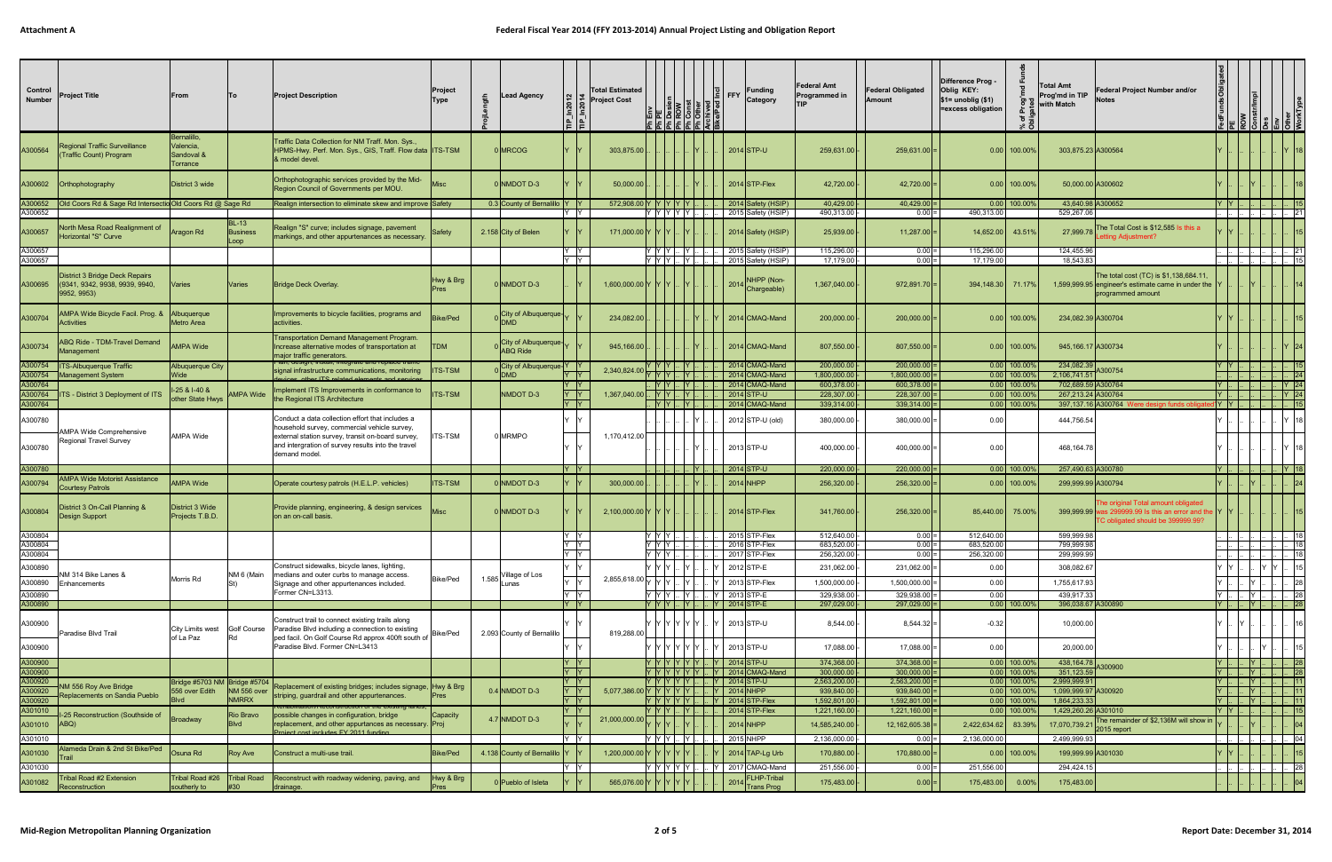| Control<br><b>Number</b> | <b>Project Title</b>                                                              | From                                               | lTo                           | <b>Project Description</b>                                                                                                                                                                                  | Project<br><b>Type</b>   | <b>Lead Agency</b>                        | உ                                                                   | <b>Total Estimated</b><br><b>Project Cost</b> |                                   | 86   | ∣≛∣ FFY | <b>Funding</b><br>Category                                                  | Federal Amt<br>Programmed in | <b>Federal Obligated</b><br>Amount   | Difference Prog -<br>Oblig KEY:<br>$$1=$ unoblig $$1)$<br>=excess obligation | <b>Total Amt</b><br>Prog'md in TIP<br>with Match<br>৳ | Federal Project Number and/or<br>Notes                                                                                         |                 |                          |                |                              |
|--------------------------|-----------------------------------------------------------------------------------|----------------------------------------------------|-------------------------------|-------------------------------------------------------------------------------------------------------------------------------------------------------------------------------------------------------------|--------------------------|-------------------------------------------|---------------------------------------------------------------------|-----------------------------------------------|-----------------------------------|------|---------|-----------------------------------------------------------------------------|------------------------------|--------------------------------------|------------------------------------------------------------------------------|-------------------------------------------------------|--------------------------------------------------------------------------------------------------------------------------------|-----------------|--------------------------|----------------|------------------------------|
| A300564                  | <b>Regional Traffic Surveillance</b><br>(Traffic Count) Program                   | Bernalillo,<br>Valencia,<br>Sandoval &<br>Torrance |                               | Fraffic Data Collection for NM Traff. Mon. Sys.,<br>HPMS-Hwy. Perf. Mon. Sys., GIS, Traff. Flow data  ITS-TSM<br>& model devel.                                                                             |                          | 0 MRCOG                                   |                                                                     | 303,875.00                                    |                                   |      |         | 2014 STP-U                                                                  | 259,631.00                   | $259,631.00$ =                       | $0.00$ 100.00%                                                               | 303,875.23 A300564                                    |                                                                                                                                |                 |                          |                |                              |
| A300602                  | Orthophotography                                                                  | District 3 wide                                    |                               | Orthophotographic services provided by the Mid-<br>Region Council of Governments per MOU.                                                                                                                   |                          | <b>DINMDOT D-3</b>                        |                                                                     | 50,000.00                                     |                                   |      |         | $2014$ STP-Flex                                                             | 42,720.00                    | $42,720.00$ =                        | $0.00$ 100.00%                                                               |                                                       | 50,000.00 A300602                                                                                                              |                 |                          |                |                              |
| A300652                  | A300652   Old Coors Rd & Sage Rd Intersectio Old Coors Rd @ Sage Rd               |                                                    |                               | Realign intersection to eliminate skew and improve Safety                                                                                                                                                   |                          | 0.3 County of Bernalillo   Y   Y          | Y Y                                                                 | 572,908.00 Y Y Y Y Y                          | $Y$ $Y$ $Y$ $Y$ $Y$               |      |         | 2014 Safety (HSIP)<br>2015 Safety (HSIP)                                    | 40,429.00<br>490,313.00 -    | $40,429.00$ =<br>$0.00 =$            | $0.00$ 100.00%<br>490,313.00                                                 | 529,267.06                                            | 43,640.98 A300652                                                                                                              | IY IY I         |                          |                | . 121                        |
| A300657                  | North Mesa Road Realignment of<br>Horizontal "S" Curve                            | Aragon Rd                                          | $ BL-13 $<br>Business<br>Loop | Realign "S" curve; includes signage, pavement<br>markings, and other appurtenances as necessary.                                                                                                            | Safety                   | 2.158 City of Belen                       |                                                                     | 171,000.00 Y Y Y                              |                                   |      |         | 2014 Safety (HSIP)                                                          | 25,939.00 -                  | $11,287.00$ =                        | 14,652.00 43.51%                                                             | 27,999.78                                             | The Total Cost is \$12,585 Is this a<br>ting Adjustment?                                                                       |                 |                          |                |                              |
| A300657<br>A300657       |                                                                                   |                                                    |                               |                                                                                                                                                                                                             |                          |                                           | Y Y<br>Y Y                                                          |                                               | Y  Y  Y  .<br> Y  Y  Y  .         | IY L |         | 2015 Safety (HSIP)<br>2015 Safety (HSIP)                                    | 115,296.00 -<br>17,179.00 -  | $0.00 =$<br>$0.00 =$                 | 115,296.00<br>17,179.00                                                      | 124,455.96<br>18,543.83                               |                                                                                                                                |                 |                          |                | 21                           |
| A300695                  | District 3 Bridge Deck Repairs<br>(9341, 9342, 9938, 9939, 9940,<br>9952, 9953)   | Varies                                             | <b>Varies</b>                 | Bridge Deck Overlay.                                                                                                                                                                                        | Hwy & Brg<br>Pres        | D NMDOT D-3                               |                                                                     | $1,600,000.00$  Y  Y  Y                       |                                   |      |         | NHPP (Non-<br>2014 Chargeable)                                              | 1,367,040.00                 | $972,891.70$ =                       | 394,148.30 71.17%                                                            |                                                       | The total cost (TC) is \$1,138,684.11<br>1,599,999.95 engineer's estimate came in under the<br>programmed amount               |                 |                          |                |                              |
| A300704                  | AMPA Wide Bicycle Facil. Prog. &<br><b>Activities</b>                             | Albuquerque<br>Metro Area                          |                               | Improvements to bicycle facilities, programs and<br>activities.                                                                                                                                             | Bike/Ped                 | City of Albuquerque-                      |                                                                     | 234,082.00                                    |                                   |      |         | 2014 CMAQ-Mand                                                              | 200,000.00                   | $200,000.00$ =                       | $0.00$ 100.00%                                                               | 234,082.39 A300704                                    |                                                                                                                                |                 |                          |                |                              |
| A300734                  | <b>BQ Ride - TDM-Travel Demand</b><br>Management                                  | <b>AMPA Wide</b>                                   |                               | Transportation Demand Management Program.<br>Increase alternative modes of transportation at<br>major traffic generators.                                                                                   | <b>TDM</b>               | City of Albuquerque-<br><b>ABQ Ride</b>   |                                                                     | 945,166.00                                    |                                   |      |         | 2014 CMAQ-Mand                                                              | 807,550.00                   | $807,550.00$ =                       | $0.00$ 100.00%                                                               | 945,166.17 A300734                                    |                                                                                                                                |                 |                          |                |                              |
|                          | A300754   ITS-Albuquerque Traffic<br>A300754   Management System                  | Albuquerque City<br>Wide                           |                               | signal infrastructure communications, monitoring<br>other ITC related elements and                                                                                                                          | <b>ITS-TSM</b>           | $ City\ of\ Albuquerque Y $<br><b>DMD</b> | ly ly                                                               | 2,340,824.00                                  | Y  Y  Y    Y  .<br>IY IY IY I     |      |         | 2014 CMAQ-Mand<br>2014 CMAQ-Mand                                            | 200,000.00<br>1.800.000.00   | $200,000.00$ =<br>$1,800,000.00$ =   | $0.00$ 100.00%<br>$0.00$ 100.00%                                             | 234,082.39 A300754<br>2.106.741.51                    |                                                                                                                                | IY IY I         |                          |                | 124                          |
| A300764<br>A300764       | <b>ITS</b> - District 3 Deployment of ITS                                         | $-25$ & $-40$ &                                    | <b>AMPA Wide</b>              | mplement ITS Improvements in conformance to                                                                                                                                                                 | <b>ITS-TSM</b>           | NMDOT D-3                                 | Y  Y<br> Y                                                          | $1,367,040.00$ . Y Y .                        | . IY IY I.                        |      |         | 2014 CMAQ-Mand<br>2014 STP-U                                                | 600,378.00<br>228,307.00     | $600,378.00$ =<br>$228,307.00$ =     | $0.00$ 100.00%<br>$0.00$ 100.00%                                             | 702,689.59 A300764<br>267,213.24 A300764              |                                                                                                                                | IY I I<br>$ Y $ |                          |                | Y 24<br> Y 24                |
| A300764                  |                                                                                   | other State Hwys                                   |                               | the Regional ITS Architecture                                                                                                                                                                               |                          |                                           | Y Y                                                                 |                                               | <u>IY IY I.</u>                   |      |         | 2014 CMAQ-Mand                                                              | 339,314.00                   | $339,314.00$ =                       | $0.00$ 100.00%                                                               |                                                       | 397,137.16 A300764<br>e desian funds c                                                                                         | I' Y  Y         |                          |                |                              |
| A300780<br>A300780       | \MPA Wide Comprehensive<br><b>Regional Travel Survey</b>                          | AMPA Wide                                          |                               | Conduct a data collection effort that includes a<br>household survey, commercial vehicle survey,<br>external station survey, transit on-board survey,<br>and intergration of survey results into the travel | <b>ITS-TSM</b>           | 0 MRMPO                                   |                                                                     | 1,170,412.00                                  |                                   |      |         | 2012 STP-U (old)<br>2013 STP-U                                              | 380,000.00<br>400,000.00     | $380,000.00$ =<br>$400,000.00$ =     | 0.00<br>0.00                                                                 | 444,756.54<br>468,164.78                              |                                                                                                                                |                 |                          |                |                              |
|                          |                                                                                   |                                                    |                               | demand model.                                                                                                                                                                                               |                          |                                           |                                                                     |                                               |                                   |      |         |                                                                             |                              |                                      |                                                                              |                                                       |                                                                                                                                |                 |                          |                |                              |
| A300780<br>A300794       | <b>AMPA Wide Motorist Assistance</b>                                              | <b>AMPA Wide</b>                                   |                               | Operate courtesy patrols (H.E.L.P. vehicles)                                                                                                                                                                | <b>ITS-TSM</b>           | NMDOT D-3                                 | Y Y                                                                 | 300,000.00                                    |                                   |      |         | 2014 STP-U<br>$2014$ NHPP                                                   | 220,000.00<br>256,320.00     | $220,000.00$ =<br>$256,320.00$ =     | $0.00$ 100.00%<br>$0.00$ 100.00%                                             | 257,490.63 A300780<br>299,999.99 A300794              |                                                                                                                                |                 |                          |                | $\vert$ Y 18                 |
| A300804                  | <b>Courtesy Patrols</b><br>District 3 On-Call Planning &<br><b>Design Support</b> | District 3 Wide<br>Projects T.B.D.                 |                               | Provide planning, engineering, & design services<br>on an on-call basis.                                                                                                                                    |                          | 0 NMDOT D-3                               |                                                                     | 2,100,000.00 Y Y Y                            |                                   |      |         | $2014$ STP-Flex                                                             | 341,760.00                   | $256,320.00$ =                       | 85.440.00 75.00%                                                             |                                                       | he original Total amount obligated<br>399,999.99 was 299999.99 Is this an error and the Y<br>FC obligated should be 399999.99? |                 |                          |                |                              |
| A300804<br>4300804       |                                                                                   |                                                    |                               |                                                                                                                                                                                                             |                          |                                           | IY IY                                                               |                                               | IY IY IY I.<br>IY IY IY I         |      |         | 2015 STP-Flex<br>2016 STP-Flex                                              | 512,640.00<br>683.520.00 -   | $0.00 =$<br>$0.00 =$                 | 512,640.00<br>683.520.00                                                     | 599,999.98<br>799,999.98                              |                                                                                                                                |                 |                          | . 18           | 18                           |
| A300804                  |                                                                                   |                                                    |                               |                                                                                                                                                                                                             |                          |                                           | $\begin{array}{ c c }\n\hline\nY & Y \\ \hline\nY & Y\n\end{array}$ |                                               | Y Y Y .                           |      |         | 2017 STP-Flex                                                               | 256,320.00 -                 | $0.00 =$                             | 256,320.00                                                                   | 299,999.99                                            |                                                                                                                                |                 |                          |                | $\lfloor . \rfloor$ 18       |
| A300890                  | NM 314 Bike Lanes &                                                               | Morris Rd                                          | NM 6 (Main                    | Construct sidewalks, bicycle lanes, lighting,<br>medians and outer curbs to manage access.                                                                                                                  | Bike/Ped                 | 1.585 Village of Los                      | $\mathsf{Y}$                                                        | 2,855,618.00 $\sqrt{ Y }$                     | Y Y Y                             |      |         | 2012 STP-E                                                                  | 231,062.00                   | $231,062.00$ =                       | 0.00                                                                         | 308,082.67                                            |                                                                                                                                |                 |                          |                |                              |
| A300890                  | A300890 Enhancements                                                              |                                                    |                               | Signage and other appurtenances included.<br>Former CN=L3313.                                                                                                                                               |                          | Lunas                                     | $Y$ $Y$                                                             |                                               | Y  Y  Y  .                        | IY I |         | 2013 STP-Flex<br>Y 2013 STP-E                                               | 1,500,000.00<br>329,938.00 - | 1,500,000.00<br>$329,938.00 =$       | 0.00<br>0.00                                                                 | 1,755,617.93<br>439,917.33                            |                                                                                                                                |                 |                          |                | . 28                         |
| A300890                  |                                                                                   |                                                    |                               |                                                                                                                                                                                                             |                          |                                           | Y Y                                                                 |                                               |                                   |      |         | Y  Y  Y    Y      Y   2014  STP-E                                           | 297.029.00                   | $297,029.00$ =                       | $0.00$ 100.00%                                                               | 396.038.67 A300890                                    |                                                                                                                                | IY L. L.        | - IY I                   |                | $\lfloor . \rfloor$ 28       |
| A300900                  | Paradise Blvd Trail                                                               | City Limits west Golf Course<br>of La Paz          | IRd.                          | Construct trail to connect existing trails along<br>Paradise Blvd including a connection to existing<br>ped facil. On Golf Course Rd approx 400ft south of<br>Paradise Blvd. Former CN=L3413                | Bike/Ped                 | 2.093 County of Bernalillo                |                                                                     | 819,288.00                                    |                                   |      |         | Y  Y  Y  Y  Y  Y    Y   2013 STP-U                                          | $8,544.00 -$                 | $8,544.32$ =                         | $-0.32$                                                                      | 10,000.00                                             |                                                                                                                                |                 |                          |                |                              |
| A300900<br>A300900       |                                                                                   |                                                    |                               |                                                                                                                                                                                                             |                          |                                           | $ Y $ $ Y $                                                         |                                               |                                   |      |         | Y  Y  Y  Y  Y  Y    Y   2013  STP-U<br> Y  Y  Y  Y  Y  Y    Y   2014  STP-U | 17,088.00<br>374,368.00      | $17,088.00$ =<br>$374,368.00 =$      | 0.00<br>$0.00$ 100.00%                                                       | 20,000.00<br>438,164.78 A300900                       |                                                                                                                                |                 | -  Y                     |                | $\vert$ 28                   |
| A300900                  |                                                                                   |                                                    |                               |                                                                                                                                                                                                             |                          |                                           | Y Y                                                                 |                                               |                                   |      |         | Y Y Y Y Y Y Y Y  Y 2014 CMAQ-Mand                                           | 300,000.00                   | $300,000.00$ =                       | $0.00$ 100.00%                                                               | 351,123.59                                            |                                                                                                                                |                 | - IY I.                  |                | $\vert \cdot \vert$ 28       |
| A300920<br>A300920       | <b>IM 556 Roy Ave Bridge</b><br>Replacements on Sandia Pueblo                     | Bridge #5703 NM Bridge #5704<br>556 over Edith     | NM 556 over                   | Replacement of existing bridges; includes signage, Hwy & Brg<br>striping, guardrail and other appurtenances.                                                                                                | <b>Pres</b>              | $0.4$ NMDOT D-3                           | Y  Y<br>$Y$ $Y$                                                     | 5,077,386.00 Y Y Y Y Y Y I. . Y 2014 NHPP     |                                   |      |         | Y  Y  Y  Y  Y      Y   2014  STP-U                                          | 2,563,200.00<br>939,840.00   | $2,563,200.00$ =<br>$939,840.00$ =   | $0.00$ 100.00%<br>$0.00$ 100.00%                                             | 2,999,999.91<br>1,099,999.97 A300920                  |                                                                                                                                |                 | Y        Y            11 |                |                              |
| A300920<br>A301010       |                                                                                   |                                                    | <b>NMRRX</b>                  |                                                                                                                                                                                                             |                          |                                           | ly ly<br>Y  Y                                                       |                                               | Y  Y  Y    Y    .                 |      |         | $\vert$ 2014 STP-Flex                                                       | 1,592,801.00<br>1,221,160.00 | $1,592,801.00$ =<br>$1,221,160.00$ = | $0.00$ 100.00%<br>$0.00$ 100.00%                                             | 1,864,233.33<br>1,429,260.26 A301010                  |                                                                                                                                | Y  Y            |                          | . IY I I I 111 |                              |
| A301010   ABQ)           | -25 Reconstruction (Southside of                                                  | Broadway                                           | Rio Bravo<br>Blvd             | possible changes in configuration, bridge<br>replacement, and other appurtances as necessary. Proj<br>Project cost includes EV 2011 funding                                                                 | Capacity                 | $4.7$ NMDOT D-3                           |                                                                     | 21,000,000.00                                 |                                   |      |         | $2014$ NHPP                                                                 | 14,585,240.00                | $12,162,605.38$ =                    | 2,422,634.62 83.39%                                                          | 17,070,739.21 2015 report                             | The remainder of \$2,136M will show in                                                                                         |                 |                          |                |                              |
| A301010                  | Alameda Drain & 2nd St Bike/Ped                                                   | Osuna Rd                                           |                               | Construct a multi-use trail.                                                                                                                                                                                | Bike/Ped                 | 4.138 County of Bernalillo Y              | Y Y                                                                 | 1,200,000.00 Y Y Y Y                          | $Y$ $Y$ $Y$ $\ldots$ $Y$ $\ldots$ |      |         | 2015 NHPP<br>$2014$ TAP-Lg Urb                                              | 2,136,000.00 -<br>170,880.00 | $0.00 =$<br>$170,880.00$ =           | 2,136,000.00<br>$0.00$ 100.00%                                               | 2,499,999.93<br>199,999.99 A301030                    |                                                                                                                                |                 |                          | $\sim$ 04      |                              |
| A301030<br>A301030       | Trail                                                                             |                                                    | <b>Roy Ave</b>                |                                                                                                                                                                                                             |                          |                                           | Y Y                                                                 |                                               | Y Y Y Y Y .                       |      |         | Y 2017 CMAQ-Mand                                                            | 251,556.00 -                 | $0.00 =$                             | 251,556.00                                                                   | 294,424.15                                            |                                                                                                                                |                 |                          |                | $\mathbb{L}$ $\mathbb{L}$ 28 |
| A301082                  | Tribal Road #2 Extension<br>Reconstruction                                        | Tribal Road #26<br>southerly to                    | <b>Tribal Road</b><br>#30     | Reconstruct with roadway widening, paving, and<br>drainage.                                                                                                                                                 | Hwy & Brg<br><b>Pres</b> | Pueblo of Isleta                          |                                                                     | 565,076.00 Y                                  |                                   |      |         | <b>FLHP-Tribal</b><br>2014<br><b>Trans Prog</b>                             | 175,483.00                   | $0.00 =$                             | 175,483.00                                                                   | 175,483.00<br>0.00%                                   |                                                                                                                                |                 |                          |                |                              |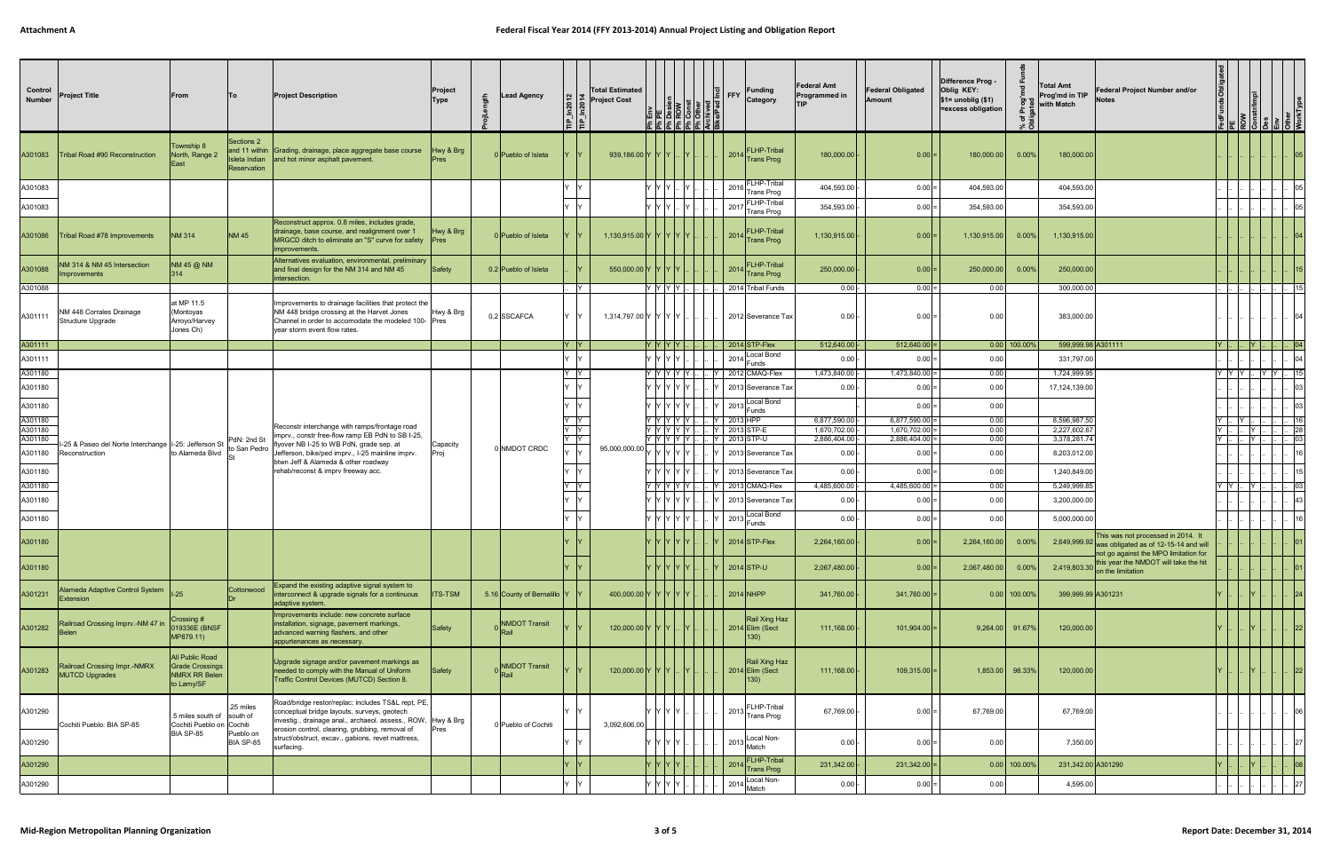| Control<br><b>Number</b> | <b>Project Title</b>                                  | From                                                                            | ∣To                                        | <b>Project Description</b>                                                                                                                                                                 | Project<br>Type | <b>Lead Agency</b>                | In2012<br>ln2014<br>١È | <b>Total Estimated</b><br><b>Project Cost</b> |                 |                               | $\left \frac{6}{2}\right $ FFY | <b>Funding</b><br>Category                                | <b>Federal Amt</b><br>Programmed in<br><b>TIP</b> | <b>Federal Obligated</b><br>Amount   | Difference Prog -<br>Oblig KEY:<br>$$1=$ unoblig $($1)$<br>=excess obligation | "চ<br>ి రె     | <b>Total Amt</b><br>Prog'md in TIP<br>with Match | Federal Project Number and/or<br><b>Notes</b>                                                                                       |                   |       |     |                 |  |
|--------------------------|-------------------------------------------------------|---------------------------------------------------------------------------------|--------------------------------------------|--------------------------------------------------------------------------------------------------------------------------------------------------------------------------------------------|-----------------|-----------------------------------|------------------------|-----------------------------------------------|-----------------|-------------------------------|--------------------------------|-----------------------------------------------------------|---------------------------------------------------|--------------------------------------|-------------------------------------------------------------------------------|----------------|--------------------------------------------------|-------------------------------------------------------------------------------------------------------------------------------------|-------------------|-------|-----|-----------------|--|
| A301083                  | Tribal Road #90 Reconstruction                        | Township 8<br>North, Range 2<br>Fast                                            | Sections 2<br>Isleta Indian<br>Reservation | and 11 within Grading, drainage, place aggregate base course<br>and hot minor asphalt pavement.                                                                                            | Hwy & Brg       | 0 Pueblo of Isleta                |                        | 939,186.00 Y Y Y Y                            |                 | -IY                           |                                | <b>LHP-Tribal</b><br>2014<br>Trans Prog                   | 180,000.00                                        | 0.00                                 | 180,000.00                                                                    | $0.00\%$       | 180,000.00                                       |                                                                                                                                     |                   |       |     |                 |  |
| A301083                  |                                                       |                                                                                 |                                            |                                                                                                                                                                                            |                 |                                   |                        |                                               | YYY             |                               |                                | $2016$ FLHP-Tribal<br>Trans Prog                          | 404,593.00                                        | $0.00 =$                             | 404,593.00                                                                    |                | 404,593.00                                       |                                                                                                                                     |                   |       |     |                 |  |
| A301083                  |                                                       |                                                                                 |                                            |                                                                                                                                                                                            |                 |                                   |                        |                                               | 7 IY IY I       |                               |                                | FLHP-Tribal<br>$ 2017 $ Trans Prog                        | 354,593.00                                        | $0.00 =$                             | 354,593.00                                                                    |                | 354,593.00                                       |                                                                                                                                     |                   |       |     |                 |  |
| A301086                  | Tribal Road #78 Improvements                          | <b>NM 314</b>                                                                   | <b>NM 45</b>                               | Reconstruct approx. 0.8 miles, includes grade,<br>drainage, base course, and realignment over 1<br>MRGCD ditch to eliminate an "S" curve for safety   Pres<br>improvements                 | Hwy & Brg       | 0 Pueblo of Isleta                |                        | 1,130,915.00 Y Y Y Y Y Y                      |                 |                               |                                | <b>FLHP-Tribal</b><br>2014<br><b>Trans Prog</b>           | 1,130,915.00                                      | $0.00$ =                             | 1,130,915.00                                                                  | $0.00\%$       | 1,130,915.00                                     |                                                                                                                                     |                   |       |     |                 |  |
| A301088                  | VM 314 & NM 45 Intersection<br>mprovements            | NM 45 @ NM<br>$ 314\rangle$                                                     |                                            | Alternatives evaluation, environmental, preliminary<br>and final design for the NM 314 and NM 45<br>intersection.                                                                          | Safety          | 0.2 Pueblo of Isleta              |                        | 550,000.00 Y Y Y Y                            |                 |                               |                                | FLHP-Tribal<br>2014<br><b>Trans Prog</b>                  | 250,000.00                                        | 0.00                                 | 250,000.00                                                                    | 0.00%          | 250,000.00                                       |                                                                                                                                     |                   |       |     |                 |  |
| A301088                  |                                                       |                                                                                 |                                            |                                                                                                                                                                                            |                 |                                   | IY                     |                                               | Y Y Y Y         |                               |                                | 2014 Tribal Funds                                         | $0.00$ -                                          | $0.00 =$                             | 0.00                                                                          |                | 300,000.00                                       |                                                                                                                                     |                   |       |     |                 |  |
| A301111                  | NM 448 Corrales Drainage<br>Structure Upgrade         | at MP 11.5<br>(Montoyas<br>Arroyo/Harvey<br>Jones Ch)                           |                                            | Improvements to drainage facilities that protect the<br>NM 448 bridge crossing at the Harvet Jones<br>Channel in order to accomodate the modeled 100- Pres<br>year storm event flow rates. | Hwy & Brg       | 0.2 SSCAFCA                       |                        | 1,314,797.00 Y Y Y Y Y                        |                 |                               |                                | 2012 Severance Tax                                        | $0.00 -$                                          | $0.00 =$                             | 0.00                                                                          |                | 383,000.00                                       |                                                                                                                                     |                   |       |     |                 |  |
| A301111                  |                                                       |                                                                                 |                                            |                                                                                                                                                                                            |                 |                                   | $ Y $ $ Y $            |                                               | $Y$ $Y$ $Y$ $Y$ |                               |                                | 2014 STP-Flex                                             | 512,640.00                                        | $512,640.00$ =                       |                                                                               | $0.00$ 100.00% | 599,999.98 A301111                               |                                                                                                                                     | $ Y $ . . $ Y $ . |       |     | 04              |  |
| A301111                  |                                                       |                                                                                 |                                            |                                                                                                                                                                                            |                 |                                   |                        |                                               | YYYY            |                               |                                | Local Bond<br>2014<br>Funds                               | 0.00                                              | $0.00 =$                             | 0.00                                                                          |                | 331,797.00                                       |                                                                                                                                     |                   |       |     |                 |  |
| A301180                  |                                                       |                                                                                 |                                            |                                                                                                                                                                                            |                 |                                   | Y IY                   |                                               |                 | Y Y Y Y Y I.                  |                                | $ Y $ 2012 CMAQ-Flex                                      | 1,473,840.00                                      | $1,473,840.00$ =                     | 0.00                                                                          |                | 1,724,999.95                                     |                                                                                                                                     | Y Y Y L           |       | YY. |                 |  |
| A301180                  |                                                       |                                                                                 |                                            |                                                                                                                                                                                            |                 |                                   |                        |                                               | Y Y Y Y Y       |                               |                                | 2013 Severance Tax                                        | $0.00 -$                                          | $0.00 =$                             | 0.00                                                                          |                | 17,124,139.00                                    |                                                                                                                                     |                   |       |     |                 |  |
| A301180                  |                                                       |                                                                                 |                                            |                                                                                                                                                                                            |                 |                                   |                        |                                               |                 | Y IY IY IY IY                 |                                | 2013 Local Bond<br>Funds                                  |                                                   | $0.00$ =                             | 0.00                                                                          |                |                                                  |                                                                                                                                     |                   |       |     |                 |  |
| A301180                  |                                                       |                                                                                 |                                            |                                                                                                                                                                                            |                 | - IY                              |                        |                                               | Y Y Y Y Y       |                               | Y 2013 HPP                     | 6,877,590.00                                              | $6,877,590.00$ =                                  | 0.00                                 |                                                                               | 8,596,987.50   |                                                  |                                                                                                                                     |                   |       |     |                 |  |
| A301180<br>A301180       |                                                       |                                                                                 |                                            | Reconstr interchange with ramps/frontage road<br>imprv., constr free-flow ramp EB PdN to SB I-25,                                                                                          |                 |                                   | - IY                   |                                               |                 | Y Y Y Y Y<br>Y IY IY IY IY I. |                                | Y 2013 STP-E<br>. Y 2013 STP-U                            | 1,670,702.00<br>2,886,404.00                      | $1,670,702.00$ =<br>$2,886,404.00$ = | 0.00<br>0.00                                                                  |                | 2,227,602.67<br>3,378,281.74                     |                                                                                                                                     |                   | IY.   |     | 0.3             |  |
| A301180                  |                                                       |                                                                                 |                                            | flyover NB I-25 to WB PdN, grade sep. at<br>efferson, bike/ped imprv., I-25 mainline imprv.                                                                                                | Capacity        | 0 NMDOT CRDC                      |                        |                                               |                 |                               |                                | 2013 Severance Tax                                        | $0.00 -$                                          | $0.00 =$                             | 0.00                                                                          |                | 8,203,012.00                                     |                                                                                                                                     |                   |       |     |                 |  |
|                          |                                                       |                                                                                 |                                            | btwn Jeff & Alameda & other roadway                                                                                                                                                        |                 |                                   |                        |                                               |                 |                               |                                |                                                           |                                                   |                                      |                                                                               |                |                                                  |                                                                                                                                     |                   |       |     |                 |  |
| A301180                  |                                                       |                                                                                 |                                            | rehab/reconst & imprv freeway acc.                                                                                                                                                         |                 |                                   |                        |                                               |                 | Y IY IY IY IY I               |                                | 2013 Severance Tax                                        | $0.00 -$                                          | $0.00 =$                             | 0.00                                                                          |                | 1,240,849.00                                     |                                                                                                                                     |                   |       |     |                 |  |
| A301180                  |                                                       |                                                                                 |                                            |                                                                                                                                                                                            |                 |                                   | -lY                    |                                               |                 | Y Y Y Y Y I                   |                                | $ Y $ 2013 CMAQ-Flex                                      | 4,485,600.00                                      | $4,485,600.00 =$                     | 0.00                                                                          |                | 5,249,999.85                                     |                                                                                                                                     | YY                | - Y L |     | $\overline{0}3$ |  |
| A301180                  |                                                       |                                                                                 |                                            |                                                                                                                                                                                            |                 |                                   |                        |                                               |                 | Y IY IY IY IY                 |                                | 2013 Severance Tax                                        | $0.00 -$                                          | $0.00 =$                             | 0.00                                                                          |                | 3,200,000.00                                     |                                                                                                                                     |                   |       |     |                 |  |
| A301180                  |                                                       |                                                                                 |                                            |                                                                                                                                                                                            |                 |                                   |                        |                                               |                 | Y Y Y Y IY IY                 |                                | Local Bond<br>2013<br>Funds                               | $0.00 -$                                          | $0.00 =$                             | 0.00                                                                          |                | 5,000,000.00                                     |                                                                                                                                     |                   |       |     |                 |  |
| A301180                  |                                                       |                                                                                 |                                            |                                                                                                                                                                                            |                 |                                   |                        |                                               |                 | IY IY IY IY IY                |                                | $2014$ STP-Flex                                           | 2,264,160.00                                      | $0.00 =$                             | 2,264,160.00                                                                  | $0.00\%$       |                                                  | This was not processed in 2014. It<br>$2,649,999.92$ was obligated as of 12-15-14 and will<br>not go against the MPO limitation for |                   |       |     |                 |  |
| A301180                  |                                                       |                                                                                 |                                            |                                                                                                                                                                                            |                 |                                   |                        |                                               | Y IY IY IY IY   |                               |                                | $2014$ STP-U                                              | 2,067,480.00                                      | $ 0.00 $ =                           | 2,067,480.00                                                                  | $0.00\%$       |                                                  | 2,419,803.30 this year the NMDOT will take the hit<br>on the limitation                                                             |                   |       |     |                 |  |
| A301231                  | lameda Adaptive Control System<br>Extension           | $ I-25 $                                                                        | Cottonwood                                 | Expand the existing adaptive signal system to<br>interconnect & upgrade signals for a continuous<br>adaptive system.                                                                       | <b>ITS-TSM</b>  | 5.16 County of Bernalillo   Y   Y |                        | 400,000.00 Y Y Y Y Y Y                        |                 |                               |                                | $2014$ NHPP                                               | 341,760.00                                        | $341,760.00$ =                       |                                                                               | $0.00$ 100.00% | 399,999.99 A301231                               |                                                                                                                                     |                   |       |     |                 |  |
| A301282                  | Railroad Crossing Imprv.-NM 47 in                     | Crossing #<br>019336E (BNSF<br>MP879.11)                                        |                                            | Improvements include: new concrete surface<br>installation, signage, pavement markings,<br>advanced warning flashers, and other<br>appurtenances as necessary.                             | <b>Safety</b>   | <b>NMDOT Transit</b><br>Rail      |                        | 120,000.00 Y Y Y                              |                 |                               |                                | Rail Xing Haz<br>2014 Elim (Sect<br>130)                  | 111,168.00                                        | $101,904.00$ =                       | 9,264.00 91.67%                                                               |                | 120,000.00                                       |                                                                                                                                     |                   |       |     | 22              |  |
| A301283                  | Railroad Crossing Impr.-NMRX<br><b>MUTCD Upgrades</b> | All Public Road<br><b>Grade Crossings</b><br><b>NMRX RR Belen</b><br>to Lamy/SF |                                            | Upgrade signage and/or pavement markings as<br>needed to comply with the Manual of Uniform<br>Traffic Control Devices (MUTCD) Section 8.                                                   | Safety          | <b>NMDOT Transit</b>              |                        | 120,000.00 Y Y Y Y                            |                 |                               |                                | Rail Xing Haz<br>$2014$ Elim (Sect<br>130)                | 111,168.00                                        | $109,315.00$ =                       | 1,853.00 98.33%                                                               |                | 120,000.00                                       |                                                                                                                                     |                   |       |     | 22              |  |
| A301290                  |                                                       | .5 miles south of south of                                                      | .25 miles                                  | Road/bridge restor/replac; includes TS&L rept, PE,<br>conceptual bridge layouts, surveys, geotech<br>investig., drainage anal., archaeol. assess., ROW, Hwy & Brg                          |                 |                                   |                        |                                               | YYYY            |                               |                                | FLHP-Tribal<br>$ 2013 $ <sup>r L.</sup> III<br>Trans Prog | 67,769.00                                         | $0.00 =$                             | 67,769.00                                                                     |                | 67,769.00                                        |                                                                                                                                     |                   |       |     |                 |  |
| A301290                  | Cochiti Pueblo: BIA SP-85                             | Cochiti Pueblo on Cochiti<br>BIA SP-85                                          | Pueblo on<br>BIA SP-85                     | erosion control, clearing, grubbing, removal of<br>struct/obstruct, excav., gabions, revet mattress,<br>surfacing.                                                                         | Pres            | 0 Pueblo of Cochiti               |                        | 3,092,606.00                                  | Y Y Y Y         |                               |                                | $ 2013 $ Local Non-<br>Match                              | $0.00 -$                                          | $0.00 =$                             | 0.00                                                                          |                | 7,350.00                                         |                                                                                                                                     |                   |       |     |                 |  |
| A301290                  |                                                       |                                                                                 |                                            |                                                                                                                                                                                            |                 |                                   |                        |                                               | Y Y             |                               |                                | 2014 FLHP-Tribal                                          | 231,342.00                                        | $231,342.00$ =                       |                                                                               | $0.00$ 100.00% | 231,342.00 A301290                               |                                                                                                                                     |                   |       |     |                 |  |
|                          |                                                       |                                                                                 |                                            |                                                                                                                                                                                            |                 |                                   |                        |                                               |                 |                               |                                |                                                           |                                                   |                                      |                                                                               |                |                                                  |                                                                                                                                     |                   |       |     |                 |  |
| A301290                  |                                                       |                                                                                 |                                            |                                                                                                                                                                                            |                 |                                   |                        |                                               | $Y$ $Y$ $Y$ $Y$ |                               |                                | 2014 Local Non-<br>Match                                  | 0.00                                              | $0.00 =$                             | 0.00                                                                          |                | 4,595.00                                         |                                                                                                                                     |                   |       |     |                 |  |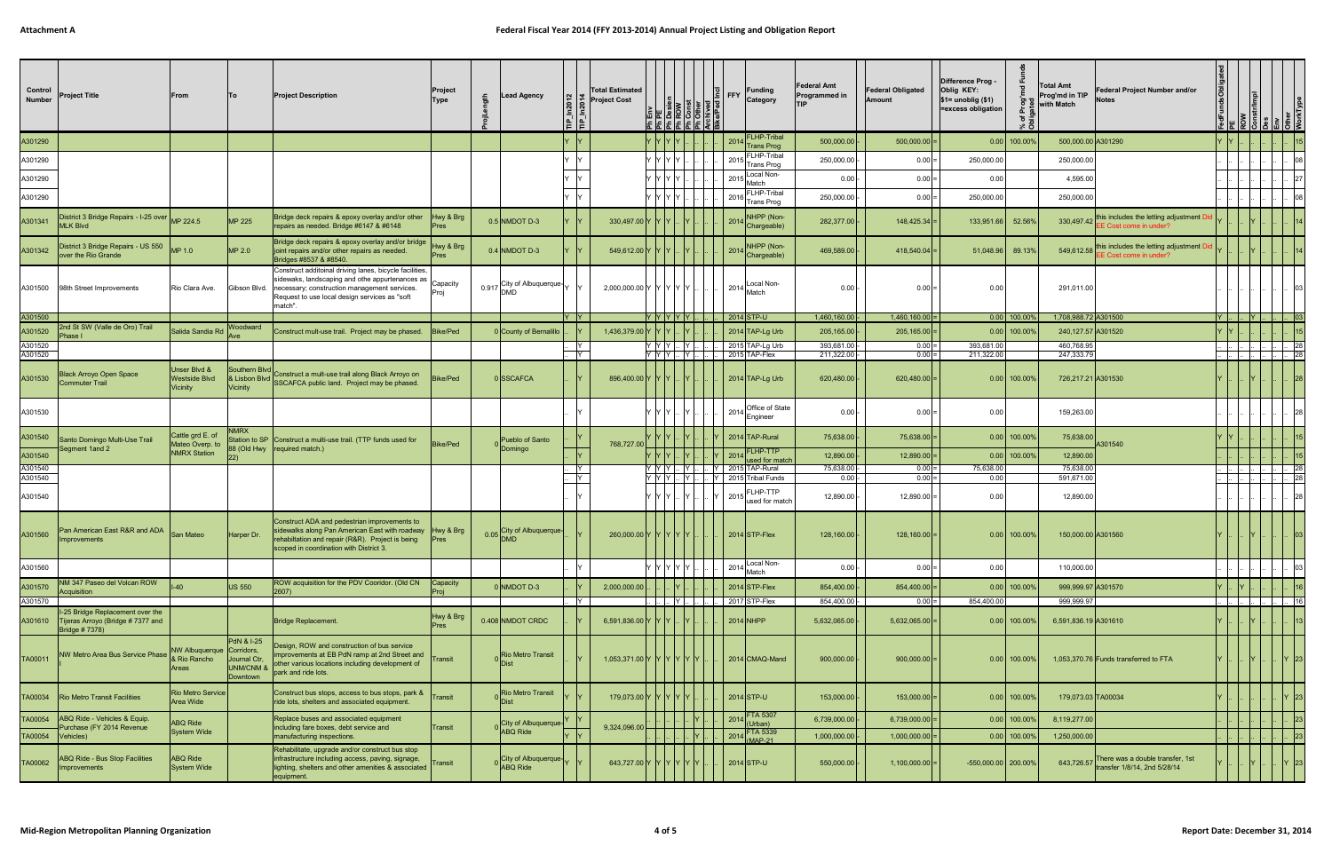| Control<br>Number  | <b>Project Title</b>                                                                            | From                                               | lTo l                                                                     | <b>Project Description</b>                                                                                                                                                                                              | Project<br>Type          | <b>Lead Agency</b>                                                                                                         |          | <b>Total Estimated</b><br>$\begin{bmatrix} 2 \\ 2 \\ 3 \\ 1 \end{bmatrix}$ $\begin{bmatrix} 3 \\ 2 \\ 3 \\ 4 \end{bmatrix}$ Project Cost | $E^{\rm E}_{\rm E}$ $E^{\rm E}_{\rm E}$ $E^{\rm E}_{\rm E}$ $E^{\rm E}_{\rm E}$ | $\frac{ \mathbf{B}  \mathbf{S} }{\ \mathbf{B}  \mathbf{S}  }\leq \frac{ \mathbf{B}  \mathbf{S}  }{\ \mathbf{B}  \mathbf{S}  }$ | <b>Funding</b><br>$\left \frac{0}{2}\right $ FFY<br>Category                                                                           | <b>Federal Amt</b><br><b>Programmed in</b><br><b>TIP</b> | <b>Federal Obligated</b><br>Amount | Difference Prog -<br>Oblig KEY:<br> \$1= unoblig (\$1)<br>=excess obligation<br>৳ | Total Amt<br>Prog'md in TIP<br>with Match | Federal Project Number and/or<br><b>Notes</b>                               |                             |     |            |              |
|--------------------|-------------------------------------------------------------------------------------------------|----------------------------------------------------|---------------------------------------------------------------------------|-------------------------------------------------------------------------------------------------------------------------------------------------------------------------------------------------------------------------|--------------------------|----------------------------------------------------------------------------------------------------------------------------|----------|------------------------------------------------------------------------------------------------------------------------------------------|---------------------------------------------------------------------------------|--------------------------------------------------------------------------------------------------------------------------------|----------------------------------------------------------------------------------------------------------------------------------------|----------------------------------------------------------|------------------------------------|-----------------------------------------------------------------------------------|-------------------------------------------|-----------------------------------------------------------------------------|-----------------------------|-----|------------|--------------|
| A301290            |                                                                                                 |                                                    |                                                                           |                                                                                                                                                                                                                         |                          |                                                                                                                            |          |                                                                                                                                          |                                                                                 |                                                                                                                                | FLHP-Tribal<br>2014<br><b>Trans Prog</b>                                                                                               | 500,000.00                                               | $500,000.00$ =                     | $0.00$ 100.00%                                                                    | 500,000.00 A301290                        |                                                                             |                             |     |            |              |
| A301290            |                                                                                                 |                                                    |                                                                           |                                                                                                                                                                                                                         |                          |                                                                                                                            |          |                                                                                                                                          | IY Y Y IY                                                                       |                                                                                                                                | <b>FLHP-Tribal</b><br>2015<br><b>Trans Prog</b>                                                                                        | 250,000.00                                               | $0.00 =$                           | 250,000.00                                                                        | 250,000.00                                |                                                                             |                             |     |            |              |
| A301290            |                                                                                                 |                                                    |                                                                           |                                                                                                                                                                                                                         |                          |                                                                                                                            |          |                                                                                                                                          | Y Y Y Y                                                                         |                                                                                                                                | 2015 Local Non-<br>Match                                                                                                               | 0.00                                                     | $0.00 =$                           | 0.00                                                                              | 4,595.00                                  |                                                                             |                             |     |            |              |
| A301290            |                                                                                                 |                                                    |                                                                           |                                                                                                                                                                                                                         |                          |                                                                                                                            |          |                                                                                                                                          | Y IY IY IY                                                                      |                                                                                                                                | FLHP-Tribal<br>2016 Trans Prog                                                                                                         | 250,000.00                                               | $0.00 =$                           | 250,000.00                                                                        | 250,000.00                                |                                                                             |                             |     |            |              |
| A301341            | District 3 Bridge Repairs - I-25 over MP 224.5<br><b>MLK Blvd</b>                               |                                                    | MP 225                                                                    | Bridge deck repairs & epoxy overlay and/or other<br>repairs as needed. Bridge #6147 & #6148                                                                                                                             | Hwy & Brg<br>Pres        | $0.5$ NMDOT D-3                                                                                                            |          | 330,497.00 Y Y Y                                                                                                                         |                                                                                 |                                                                                                                                | NHPP (Non-<br>2014 Chargeable)                                                                                                         | 282,377.00                                               | $148,425.34$ =                     | 133,951.66<br>52.56%                                                              |                                           | 330,497.42 this includes the letting adjustment D<br>EE Cost come in under? |                             |     |            |              |
| A301342            | District 3 Bridge Repairs - US 550 MP 1.0<br>over the Rio Grande                                |                                                    | MP 2.0                                                                    | Bridge deck repairs & epoxy overlay and/or bridge<br>joint repairs and/or other repairs as needed.<br>Bridges #8537 & #8540.                                                                                            | Hwy & Brg<br>Pres        | $0.4$ NMDOT D-3                                                                                                            |          | 549,612.00 Y Y Y                                                                                                                         |                                                                                 |                                                                                                                                | NHPP (Non-<br>2014 Chargeable)                                                                                                         | 469,589.00                                               | $418,540.04$ =                     | 51,048.96 89.13%                                                                  | 549,612.58                                | this includes the letting adjustment D<br>EE Cost come in under?            |                             |     |            |              |
|                    | A301500 98th Street Improvements                                                                | Rio Clara Ave.                                     | Gibson Blvd.                                                              | Construct additoinal driving lanes, bicycle facilities,<br>sidewaks, landscaping and othe appurtenances as  <br>necessary; construction management services.<br>Request to use local design services as "soft<br>match" | Capacity                 | 0.917 City of Albuquerque- $\left  \begin{matrix} \mathsf{Y} & \mathsf{Y} \\ \mathsf{Y} & \mathsf{Y} \end{matrix} \right $ |          | 2,000,000.00 Y Y Y Y Y                                                                                                                   |                                                                                 |                                                                                                                                | Local Non-<br>$2014$ Match                                                                                                             | 0.00                                                     | $0.00 =$                           | 0.00                                                                              | 291,011.00                                |                                                                             |                             |     |            |              |
| A301500            |                                                                                                 |                                                    |                                                                           |                                                                                                                                                                                                                         |                          |                                                                                                                            | Y Y      |                                                                                                                                          | Y Y Y Y Y                                                                       |                                                                                                                                | $\vert$ 2014 STP-U                                                                                                                     | 1,460,160.00                                             | $1,460,160.00$ =                   | $0.00$ 100.00%                                                                    | 1,708,988.72 A301500                      |                                                                             | $\mathsf{I}$ Y $\mathsf{I}$ | IY. |            | $\sqrt{0.3}$ |
| A301520            | 2nd St SW (Valle de Oro) Trail<br>Phase I                                                       | Salida Sandia Rd                                   | Woodward                                                                  | Construct mult-use trail. Project may be phased.                                                                                                                                                                        | Bike/Ped                 | 0 County of Bernalillo                                                                                                     |          | 1,436,379.00 Y Y Y                                                                                                                       |                                                                                 |                                                                                                                                | $2014$ TAP-Lg Urb                                                                                                                      | 205,165.00                                               | $205,165.00$ =                     | $0.00$ 100.00%                                                                    | 240,127.57 A301520                        |                                                                             |                             |     |            |              |
| A301520<br>A301520 |                                                                                                 |                                                    |                                                                           |                                                                                                                                                                                                                         |                          |                                                                                                                            | IY<br>l۷ |                                                                                                                                          | $Y$ $Y$ $Y$ $\ldots$ $Y$<br>YYYL.                                               | -IY I                                                                                                                          | 2015 TAP-Lg Urb<br>2015 TAP-Flex                                                                                                       | 393,681.00<br>211,322.00                                 | $0.00 =$<br>$0.00 =$               | 393,681.00<br>211,322.00                                                          | 460,768.95<br>247,333.79                  |                                                                             |                             |     | . I I I281 |              |
| A301530            | <b>Black Arroyo Open Space</b><br><b>Commuter Trail</b>                                         | Jnser Blvd &<br><b>Westside Blvd</b><br>Vicinity   | Southern Blvd                                                             | Construct a mult-use trail along Black Arroyo on<br>& Lisbon Blvd SSCAFCA public land. Project may be phased.                                                                                                           | <b>Bike/Ped</b>          | <b>SSCAFCA</b>                                                                                                             |          | 896,400.00 Y Y Y                                                                                                                         |                                                                                 |                                                                                                                                | 2014 TAP-Lg Urb                                                                                                                        | 620,480.00                                               | $620,480.00$ =                     | $0.00$ 100.00%                                                                    | 726,217.21 A301530                        |                                                                             |                             |     |            |              |
| A301530            |                                                                                                 |                                                    |                                                                           |                                                                                                                                                                                                                         |                          |                                                                                                                            |          |                                                                                                                                          | YYY                                                                             |                                                                                                                                | Office of State<br>$ 2014 $ Engineer                                                                                                   | 0.00                                                     | $0.00 =$                           | 0.00                                                                              | 159,263.00                                |                                                                             |                             |     |            |              |
| A301540            | Santo Domingo Multi-Use Trail<br>Segment 1and 2                                                 | Cattle grd E. of<br>Mateo Overp. to                | <b>NMRX</b>                                                               | Station to SP Construct a multi-use trail. (TTP funds used for<br>88 (Old Hwy   required match.)                                                                                                                        | <b>Bike/Ped</b>          | Pueblo of Santo<br>Domingo                                                                                                 |          | 768,727.00                                                                                                                               |                                                                                 |                                                                                                                                | 2014 TAP-Rural                                                                                                                         | 75,638.00                                                | $75,638.00$ =                      | $0.00$ 100.00%                                                                    | 75,638.00                                 | A301540                                                                     |                             |     |            |              |
| A301540            |                                                                                                 | <b>NMRX Station</b>                                |                                                                           |                                                                                                                                                                                                                         |                          |                                                                                                                            |          |                                                                                                                                          | $Y$ $Y$ $Y$ $\mid$                                                              |                                                                                                                                | FLHP-TTP<br>2014<br>used for matc                                                                                                      | 12,890.00                                                | $12,890.00$ =                      | $0.00$ 100.00%                                                                    | 12,890.00                                 |                                                                             |                             |     |            |              |
| A301540<br>A301540 |                                                                                                 |                                                    |                                                                           |                                                                                                                                                                                                                         |                          |                                                                                                                            | ΙY<br>İΥ |                                                                                                                                          |                                                                                 |                                                                                                                                | Y  Y  Y    Y      Y   2015 TAP-Rural<br>Y  Y  Y    Y      Y   2015 Tribal Funds                                                        | 75,638.00<br>$0.00$  -                                   | $0.00 =$<br>$0.00 =$               | 75,638.00<br>0.00                                                                 | 75,638.00<br>591,671.00                   |                                                                             |                             |     |            | 28           |
| A301540            |                                                                                                 |                                                    |                                                                           |                                                                                                                                                                                                                         |                          |                                                                                                                            |          |                                                                                                                                          | YYY.                                                                            | - Y I                                                                                                                          | $\left  \mathsf{Y} \right $ 2015 $\left  \begin{array}{c} \mathsf{r} & \mathsf{u} \\ \mathsf{used} & \mathsf{for} \end{array} \right $ | 12,890.00                                                | $12,890.00$ =                      | 0.00                                                                              | 12,890.00                                 |                                                                             |                             |     |            |              |
| A301560            | Pan American East R&R and ADA<br><b>Improvements</b>                                            | <b>San Mateo</b>                                   | Harper Dr.                                                                | Construct ADA and pedestrian improvements to<br>sidewalks along Pan American East with roadway Hwy & Brg<br>rehabiltation and repair (R&R). Project is being<br>scoped in coordination with District 3.                 | <b>Pres</b>              | $0.05$ City of Albuquerque-                                                                                                |          | 260,000.00 Y Y Y Y Y                                                                                                                     |                                                                                 |                                                                                                                                | $2014$ STP-Flex                                                                                                                        | 128,160.00                                               | $128,160.00$ =                     | $0.00$ 100.00%                                                                    | 150,000.00 A301560                        |                                                                             |                             |     |            |              |
| A301560            |                                                                                                 |                                                    |                                                                           |                                                                                                                                                                                                                         |                          |                                                                                                                            |          |                                                                                                                                          | $Y$ $Y$ $Y$ $Y$                                                                 |                                                                                                                                | Local Non-<br>2014<br>Match                                                                                                            | 0.00                                                     | $0.00 =$                           | 0.00                                                                              | 110,000.00                                |                                                                             |                             |     |            |              |
| A301570            | NM 347 Paseo del Volcan ROW<br>Acquisition                                                      | $I-40$                                             | US 550                                                                    | ROW acquisition for the PDV Cooridor. (Old CN<br>2607)                                                                                                                                                                  | Capacity<br>Proj         | 0 NMDOT D-3                                                                                                                |          | 2,000,000.00                                                                                                                             |                                                                                 |                                                                                                                                | $2014$ STP-Flex                                                                                                                        | 854,400.00                                               | $854,400.00$ =                     | $0.00$ 100.00%                                                                    | 999,999.97 A301570                        |                                                                             |                             |     |            |              |
| A301570            |                                                                                                 |                                                    |                                                                           |                                                                                                                                                                                                                         |                          |                                                                                                                            | 1Y       |                                                                                                                                          |                                                                                 | IY I -                                                                                                                         | 2017 STP-Flex                                                                                                                          | 854,400.00                                               | $0.00 =$                           | 854,400.00                                                                        | 999.999.97                                |                                                                             |                             |     |            |              |
|                    | I-25 Bridge Replacement over the<br>A301610   Tijeras Arroyo (Bridge #7377 and<br>Bridge #7378) |                                                    |                                                                           | Bridge Replacement.                                                                                                                                                                                                     | Hwy & Brg<br><b>Pres</b> | 0.408 NMDOT CRDC                                                                                                           |          | 6,591,836.00 Y Y Y                                                                                                                       |                                                                                 |                                                                                                                                | $2014$ NHPP                                                                                                                            | 5,632,065.00                                             | $5,632,065.00$ =                   | $0.00$ 100.00%                                                                    | 6,591,836.19 A301610                      |                                                                             |                             |     |            |              |
| TA00011            | NW Metro Area Bus Service Phase                                                                 | NW Albuquerque Corridors,<br>& Rio Rancho<br>Areas | <b>PdN &amp; I-25</b><br>Journal Ctr,<br><b>UNM/CNM &amp;</b><br>Downtown | Design, ROW and construction of bus service<br>improvements at EB PdN ramp at 2nd Street and<br>other various locations including development of<br>park and ride lots.                                                 | Transit                  | <b>Rio Metro Transit</b>                                                                                                   |          | 1,053,371.00 Y Y Y Y Y Y Y                                                                                                               |                                                                                 |                                                                                                                                | 2014 CMAQ-Mand                                                                                                                         | 900,000.00                                               | $900,000.00$ =                     | $0.00$ 100.00%                                                                    |                                           | 1,053,370.76 Funds transferred to FTA                                       |                             |     |            | IY 123       |
|                    | TA00034   Rio Metro Transit Facilities                                                          | <b>Rio Metro Service</b><br>Area Wide              |                                                                           | Construct bus stops, access to bus stops, park &<br>ride lots, shelters and associated equipment.                                                                                                                       | Transit                  | <b>Rio Metro Transit</b>                                                                                                   |          | 179,073.00 Y Y Y Y Y                                                                                                                     |                                                                                 |                                                                                                                                | $2014$ STP-U                                                                                                                           | 153,000.00                                               | $153,000.00$ =                     | $0.00$ 100.00%                                                                    | 179,073.03 TA00034                        |                                                                             |                             |     |            | 23           |
| TA00054            | ABQ Ride - Vehicles & Equip.                                                                    | <b>ABQ Ride</b>                                    |                                                                           | Replace buses and associated equipment                                                                                                                                                                                  |                          | City of Albuquerque-                                                                                                       |          |                                                                                                                                          |                                                                                 |                                                                                                                                | 2014 FTA 5307<br>(Urban)                                                                                                               | 6,739,000.00                                             | $6,739,000.00$ =                   | $0.00$ 100.00%                                                                    | 8,119,277.00                              |                                                                             |                             |     |            |              |
| TA00054            | Purchase (FY 2014 Revenue<br>$ V$ ehicles $ V $                                                 | <b>System Wide</b>                                 |                                                                           | including fare boxes, debt service and<br>manufacturing inspections.                                                                                                                                                    | Transit                  | <b>ABQ Ride</b>                                                                                                            |          | 9,324,096.00                                                                                                                             |                                                                                 |                                                                                                                                | <b>FTA 5339</b><br>2014 (MAP-21                                                                                                        | 1,000,000.00                                             | $1,000,000.00$ =                   | $0.00$ 100.00%                                                                    | 1,250,000.00                              |                                                                             |                             |     |            |              |
| TA00062            | ABQ Ride - Bus Stop Facilities<br>Improvements                                                  | <b>ABQ Ride</b><br>System Wide                     |                                                                           | Rehabilitate, upgrade and/or construct bus stop<br>infrastructure including access, paving, signage,<br>lighting, shelters and other amenities & associated<br>equipment.                                               | Transit                  | $ City\ of\ Albuquerque\}$<br>ABQ Ride                                                                                     |          | 643,727.00 Y Y Y Y                                                                                                                       |                                                                                 |                                                                                                                                | $2014$ STP-U                                                                                                                           | 550,000.00                                               | $1,100,000.00$ =                   | -550,000.00   200.00%                                                             |                                           | 643,726.57 There was a double transfer, 1st<br>transfer 1/8/14, 2nd 5/28/14 |                             |     |            | $ Y $ 23     |